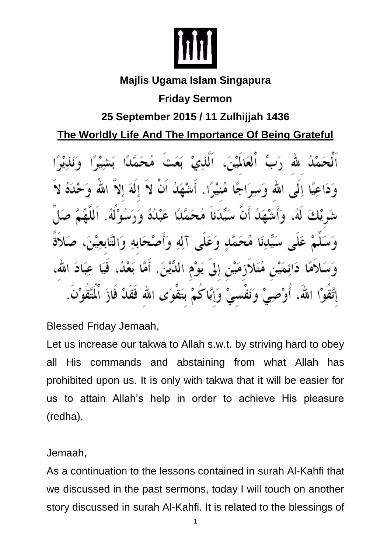

#### **Majlis Ugama Islam Singapura**

## **Friday Sermon**

## **25 September 2015 / 11 Zulhijjah 1436**

## **The Worldly Life And The Importance Of Being Grateful**

اْلْعَالَمْيْنَ، اَلَّٰلِنِیْ بَعَثَ مُحَمَّلاًا لله وَجَاعِيًا إِلَى اللهِ وَسِيَاجًا مُنِيْدًا. أَشْهَلُ أَنْ لاَ إِلَٰهَ إِلاَّ اللَّهَ أَنَّ سَيِّدَناً مُحَمَّدًا عَبْدُهُ وَرَسُوْلَهُ. لممَ مُحَمَّدٍ وَعَلَّى آلِهِ وَأَصْحَابِهِ وَالتَّابِعِ أَمَّا بَعْدُ، فَيَا مُتَلاَزِمَيْنِ إِلَىٰ يَوْمِ اللَّيْنَ. إِتَّقُوْا اللَّهُ، أَوْصِيْ وَنَفْسَىْ وَإِيَّاكُمْ بَتَقْوَى الله فَقَدْ فَازَ الْمُتَّقَوْنَ.

Blessed Friday Jemaah,

Let us increase our takwa to Allah s.w.t. by striving hard to obey all His commands and abstaining from what Allah has prohibited upon us. It is only with takwa that it will be easier for us to attain Allah's help in order to achieve His pleasure (redha).

Jemaah,

As a continuation to the lessons contained in surah Al-Kahfi that we discussed in the past sermons, today I will touch on another story discussed in surah Al-Kahfi. It is related to the blessings of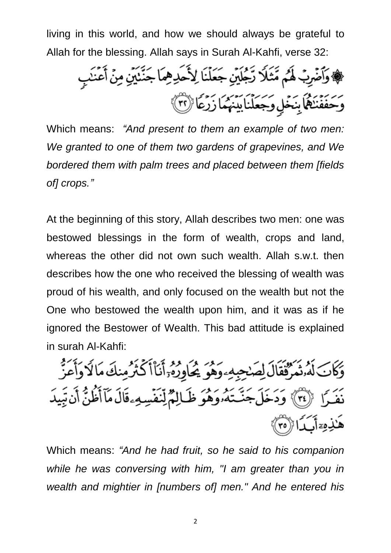living in this world, and how we should always be grateful to Allah for the blessing. Allah says in Surah Al-Kahfi, verse 32:

، فَقَاضَرِبُ لَهُم مَّثَلًا رَّجُلَيْنِ جَعَلْنَا لِأَحَدِهِمَا جَنَّنَيْنِ مِنْ أَعْنَبِ وَحَفَفَنَكُمَا بِنَخْلٍ وَجَعَلْنَا بَيْنَهُمَا زَرْعًا (٣)

Which means: *"And present to them an example of two men: We granted to one of them two gardens of grapevines, and We bordered them with palm trees and placed between them [fields of] crops."*

At the beginning of this story, Allah describes two men: one was bestowed blessings in the form of wealth, crops and land, whereas the other did not own such wealth. Allah s.w.t. then describes how the one who received the blessing of wealth was proud of his wealth, and only focused on the wealth but not the One who bestowed the wealth upon him, and it was as if he ignored the Bestower of Wealth. This bad attitude is explained in surah Al-Kahfi:

وَكَانَ لَهُ نُمَرٌفُقَالَ لِصَبْحِبِهِ ءَهُوَ يُحَاوِرُهُ أَنَاْ أَكْثَرُ مِنكَ مَا لَا وَأَعَزُّ نَفَـرًا ۚ ۞ ۚ وَدَخَلَ جَنَّـنَهُۥوَهُوَ ظَـالِمٌ لِّنَفَسِهِۦقَالَ مَآأَظُنُّ أَن تَبِيدَ هَٰٓذِهِۦٓأَبَدَا۞

Which means: *"And he had fruit, so he said to his companion while he was conversing with him, "I am greater than you in wealth and mightier in [numbers of] men." And he entered his*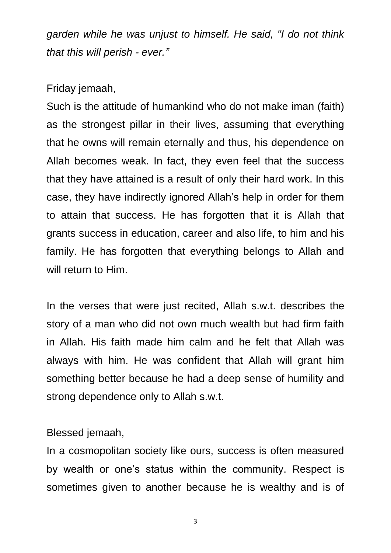*garden while he was unjust to himself. He said, "I do not think that this will perish - ever."*

#### Friday jemaah,

Such is the attitude of humankind who do not make iman (faith) as the strongest pillar in their lives, assuming that everything that he owns will remain eternally and thus, his dependence on Allah becomes weak. In fact, they even feel that the success that they have attained is a result of only their hard work. In this case, they have indirectly ignored Allah's help in order for them to attain that success. He has forgotten that it is Allah that grants success in education, career and also life, to him and his family. He has forgotten that everything belongs to Allah and will return to Him.

In the verses that were just recited, Allah s.w.t. describes the story of a man who did not own much wealth but had firm faith in Allah. His faith made him calm and he felt that Allah was always with him. He was confident that Allah will grant him something better because he had a deep sense of humility and strong dependence only to Allah s.w.t.

#### Blessed jemaah,

In a cosmopolitan society like ours, success is often measured by wealth or one's status within the community. Respect is sometimes given to another because he is wealthy and is of

3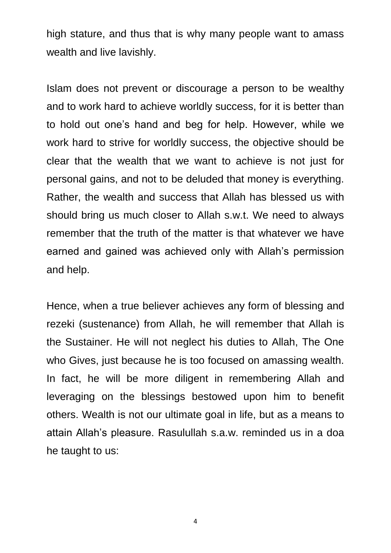high stature, and thus that is why many people want to amass wealth and live lavishly.

Islam does not prevent or discourage a person to be wealthy and to work hard to achieve worldly success, for it is better than to hold out one's hand and beg for help. However, while we work hard to strive for worldly success, the objective should be clear that the wealth that we want to achieve is not just for personal gains, and not to be deluded that money is everything. Rather, the wealth and success that Allah has blessed us with should bring us much closer to Allah s.w.t. We need to always remember that the truth of the matter is that whatever we have earned and gained was achieved only with Allah's permission and help.

Hence, when a true believer achieves any form of blessing and rezeki (sustenance) from Allah, he will remember that Allah is the Sustainer. He will not neglect his duties to Allah, The One who Gives, just because he is too focused on amassing wealth. In fact, he will be more diligent in remembering Allah and leveraging on the blessings bestowed upon him to benefit others. Wealth is not our ultimate goal in life, but as a means to attain Allah's pleasure. Rasulullah s.a.w. reminded us in a doa he taught to us:

4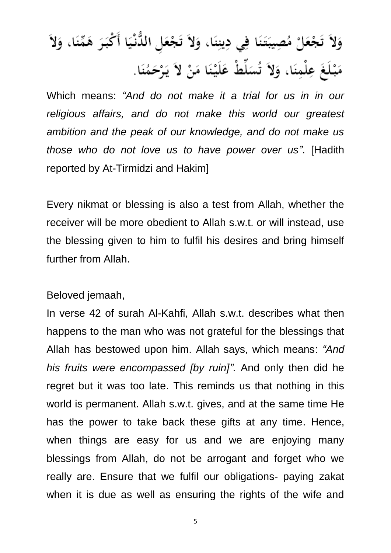# وَلاَ تَجْعَلْ مُصِيبَتَنَا فِي دِينِنَا، وَلاَ تَجْعَل الدُّنْيَا أَكْبَرَ هَمِّنَا، وَلاَ مَبْلَغَ عِلْمِنَا، وَلاَ تُسَلِّطْ عَلَيْنَا مَنْ لاَ يَرْحَمُنَا.

Which means: *"And do not make it a trial for us in in our religious affairs, and do not make this world our greatest ambition and the peak of our knowledge, and do not make us those who do not love us to have power over us"*. [Hadith reported by At-Tirmidzi and Hakim]

Every nikmat or blessing is also a test from Allah, whether the receiver will be more obedient to Allah s.w.t. or will instead, use the blessing given to him to fulfil his desires and bring himself further from Allah.

Beloved jemaah,

In verse 42 of surah Al-Kahfi, Allah s.w.t. describes what then happens to the man who was not grateful for the blessings that Allah has bestowed upon him. Allah says, which means: *"And his fruits were encompassed [by ruin]".* And only then did he regret but it was too late. This reminds us that nothing in this world is permanent. Allah s.w.t. gives, and at the same time He has the power to take back these gifts at any time. Hence, when things are easy for us and we are enjoying many blessings from Allah, do not be arrogant and forget who we really are. Ensure that we fulfil our obligations- paying zakat when it is due as well as ensuring the rights of the wife and

5